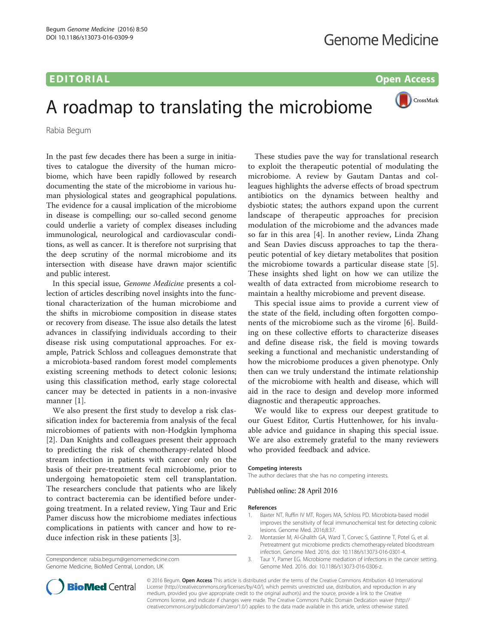## EDITORIAL AND OPEN ACCESS AND LODGED AT A CONSUMING A SUBSECTION OF A CONSUMING A SUBSECTION OF A CONSUMING A

CrossMark

## A roadmap to translating the microbiome

Rabia Begum

In the past few decades there has been a surge in initiatives to catalogue the diversity of the human microbiome, which have been rapidly followed by research documenting the state of the microbiome in various human physiological states and geographical populations. The evidence for a causal implication of the microbiome in disease is compelling; our so-called second genome could underlie a variety of complex diseases including immunological, neurological and cardiovascular conditions, as well as cancer. It is therefore not surprising that the deep scrutiny of the normal microbiome and its intersection with disease have drawn major scientific and public interest.

In this special issue, Genome Medicine presents a collection of articles describing novel insights into the functional characterization of the human microbiome and the shifts in microbiome composition in disease states or recovery from disease. The issue also details the latest advances in classifying individuals according to their disease risk using computational approaches. For example, Patrick Schloss and colleagues demonstrate that a microbiota-based random forest model complements existing screening methods to detect colonic lesions; using this classification method, early stage colorectal cancer may be detected in patients in a non-invasive manner [1].

We also present the first study to develop a risk classification index for bacteremia from analysis of the fecal microbiomes of patients with non-Hodgkin lymphoma [2]. Dan Knights and colleagues present their approach to predicting the risk of chemotherapy-related blood stream infection in patients with cancer only on the basis of their pre-treatment fecal microbiome, prior to undergoing hematopoietic stem cell transplantation. The researchers conclude that patients who are likely to contract bacteremia can be identified before undergoing treatment. In a related review, Ying Taur and Eric Pamer discuss how the microbiome mediates infectious complications in patients with cancer and how to reduce infection risk in these patients [3].

Correspondence: [rabia.begum@genomemedicine.com](mailto:rabia.begum@genomemedicine.com) Genome Medicine, BioMed Central, London, UK



This special issue aims to provide a current view of the state of the field, including often forgotten components of the microbiome such as the virome [\[6](#page-1-0)]. Building on these collective efforts to characterize diseases and define disease risk, the field is moving towards seeking a functional and mechanistic understanding of how the microbiome produces a given phenotype. Only then can we truly understand the intimate relationship of the microbiome with health and disease, which will aid in the race to design and develop more informed diagnostic and therapeutic approaches.

We would like to express our deepest gratitude to our Guest Editor, Curtis Huttenhower, for his invaluable advice and guidance in shaping this special issue. We are also extremely grateful to the many reviewers who provided feedback and advice.

Competing interests The author declares that she has no competing interests.

Published online: 28 April 2016

- 1. Baxter NT, Ruffin IV MT, Rogers MA, Schloss PD. Microbiota-based mode improves the sensitivity of fecal immunochemical test for detecting colonic lesions. Genome Med. 2016;8:37.
- 2. Montassier M, Al-Ghalith GA, Ward T, Corvec S, Gastinne T, Potel G, et al. Pretreatment gut microbiome predicts chemotherapy-related bloodstream infection. Genome Med. 2016. doi: [10.1186/s13073-016-0301-4](http://dx.doi.org/10.1186/s13073-016-0301-4).
- 3. Taur Y, Pamer EG. Microbiome mediation of infections in the cancer setting. Genome Med. 2016. doi: [10.1186/s13073-016-0306-z.](http://dx.doi.org/10.1186/s13073-016-0306-z)

© 2016 Begum. Open Access This article is distributed under the terms of the Creative Commons Attribution 4.0 International License ([http://creativecommons.org/licenses/by/4.0/\)](http://creativecommons.org/licenses/by/4.0/), which permits unrestricted use, distribution, and reproduction in any medium, provided you give appropriate credit to the original author(s) and the source, provide a link to the Creative Commons license, and indicate if changes were made. The Creative Commons Public Domain Dedication waiver ([http://](http://creativecommons.org/publicdomain/zero/1.0/) [creativecommons.org/publicdomain/zero/1.0/\)](http://creativecommons.org/publicdomain/zero/1.0/) applies to the data made available in this article, unless otherwise stated.